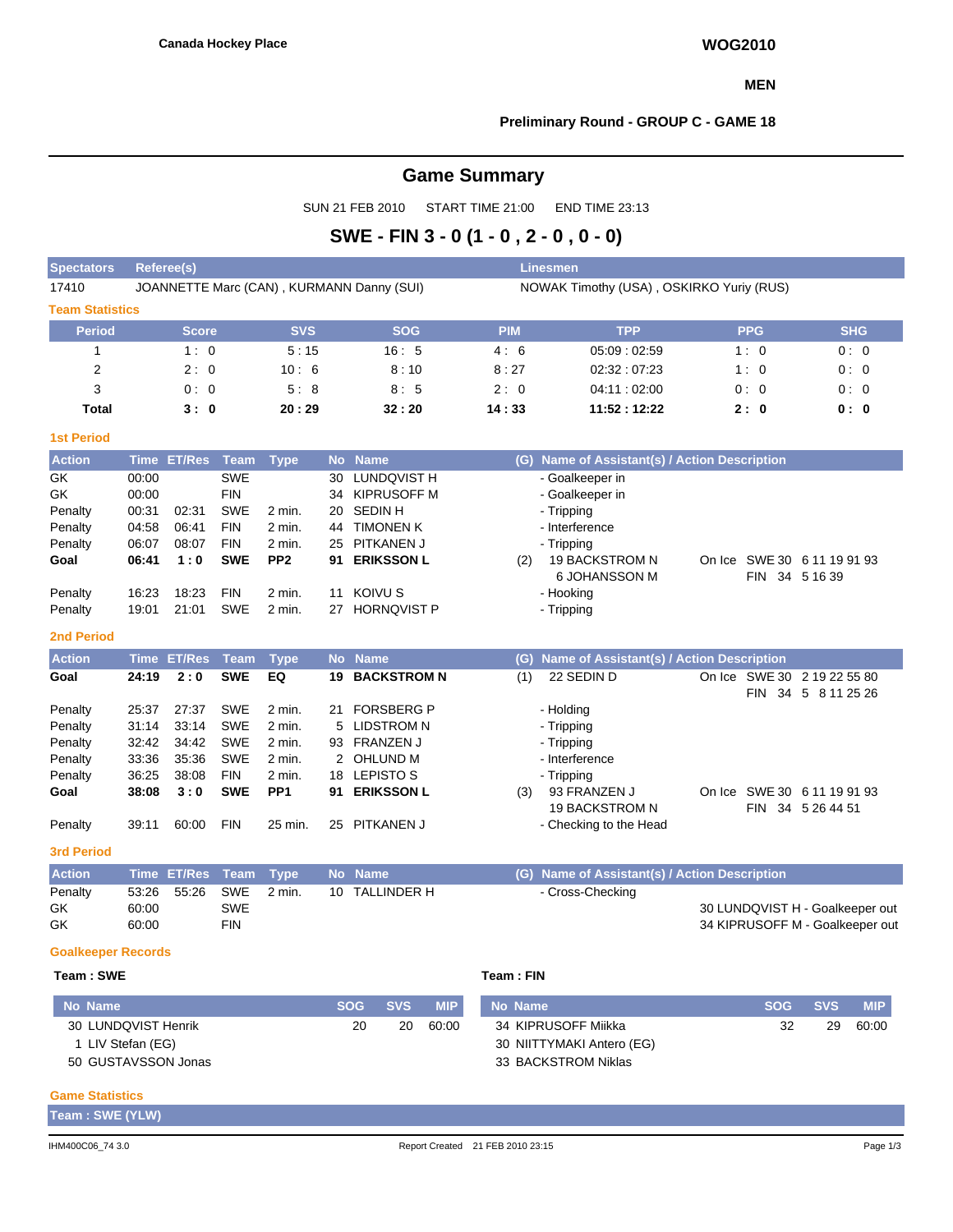#### **MEN**

#### **Preliminary Round - GROUP C - GAME 18**

# **Game Summary**

SUN 21 FEB 2010 START TIME 21:00 END TIME 23:13

# **SWE - FIN 3 - 0 (1 - 0 , 2 - 0 , 0 - 0)**

| <b>Spectators</b>      | <b>Linesmen</b><br><b>Referee(s)</b> |               |             |                 |                      |                                           |            |                                           |  |                |                                                    |
|------------------------|--------------------------------------|---------------|-------------|-----------------|----------------------|-------------------------------------------|------------|-------------------------------------------|--|----------------|----------------------------------------------------|
| 17410                  |                                      |               |             |                 |                      | JOANNETTE Marc (CAN), KURMANN Danny (SUI) |            | NOWAK Timothy (USA), OSKIRKO Yuriy (RUS)  |  |                |                                                    |
| <b>Team Statistics</b> |                                      |               |             |                 |                      |                                           |            |                                           |  |                |                                                    |
| <b>Period</b>          |                                      | <b>Score</b>  |             | <b>SVS</b>      |                      | <b>SOG</b>                                | <b>PIM</b> | <b>TPP</b>                                |  | <b>PPG</b>     | <b>SHG</b>                                         |
| 1                      |                                      | 1:0           |             | 5:15            |                      | 16:5                                      | 4:6        | 05:09:02:59                               |  | 1:0            | 0:0                                                |
| 2                      |                                      | 2:0           |             | 10:6            |                      | 8:10                                      | 8:27       | 02:32:07:23                               |  | 1:0            | 0:0                                                |
| 3                      |                                      | 0:0           |             | 5:8             |                      | 8:5                                       | 2:0        | 04:11:02:00                               |  | 0:0            | 0:0                                                |
| <b>Total</b>           | 3:0<br>20:29                         |               | 32:20       | 14:33           | 11:52:12:22          |                                           | 2:0        | 0: 0                                      |  |                |                                                    |
| <b>1st Period</b>      |                                      |               |             |                 |                      |                                           |            |                                           |  |                |                                                    |
| <b>Action</b>          | <b>Time</b>                          | <b>ET/Res</b> | <b>Team</b> | <b>Type</b>     | <b>No</b>            | <b>Name</b>                               | (G)        | Name of Assistant(s) / Action Description |  |                |                                                    |
| GK                     | 00:00                                |               | <b>SWE</b>  |                 | 30                   | LUNDQVIST H                               |            | - Goalkeeper in                           |  |                |                                                    |
| <b>GK</b>              | 00:00                                |               | <b>FIN</b>  |                 | 34                   | <b>KIPRUSOFF M</b>                        |            | - Goalkeeper in                           |  |                |                                                    |
| Penalty                | 00:31                                | 02:31         | <b>SWE</b>  | 2 min.          | 20                   | <b>SEDINH</b>                             |            | - Tripping                                |  |                |                                                    |
| Penalty                | 04:58                                | 06:41         | <b>FIN</b>  | 2 min.          | 44                   | <b>TIMONEN K</b>                          |            | - Interference                            |  |                |                                                    |
| Penalty                | 06:07                                | 08:07         | <b>FIN</b>  | 2 min.          | 25                   | <b>PITKANEN J</b>                         |            | - Tripping                                |  |                |                                                    |
| Goal                   | 06:41                                | 1:0           | <b>SWE</b>  | PP <sub>2</sub> | 91                   | <b>ERIKSSON L</b>                         | (2)        | 19 BACKSTROM N<br>6 JOHANSSON M           |  | FIN 34 5 16 39 | On Ice SWE 30 6 11 19 91 93                        |
| Penalty                | 16:23                                | 18:23         | <b>FIN</b>  | $2$ min.        | 11                   | KOIVU S                                   |            | - Hooking                                 |  |                |                                                    |
| Penalty                | 19:01                                | 21:01         | <b>SWE</b>  | 2 min.          | 27                   | <b>HORNQVIST P</b>                        |            | - Tripping                                |  |                |                                                    |
| <b>2nd Period</b>      |                                      |               |             |                 |                      |                                           |            |                                           |  |                |                                                    |
| <b>Action</b>          | <b>Time</b>                          | <b>ET/Res</b> | <b>Team</b> | <b>Type</b>     | <b>No</b>            | <b>Name</b>                               | (G)        | Name of Assistant(s) / Action Description |  |                |                                                    |
| Goal                   | 24:19                                | 2:0           | <b>SWE</b>  | EQ              | 19                   | <b>BACKSTROM N</b>                        | (1)        | 22 SEDIN D                                |  |                | On Ice SWE 30 2 19 22 55 80<br>FIN 34 5 8 11 25 26 |
| Penalty                | 25:37                                | 27:37         | <b>SWE</b>  | $2$ min.        | 21                   | <b>FORSBERG P</b>                         |            | - Holding                                 |  |                |                                                    |
| Penalty                | 31:14                                | 33:14         | <b>SWE</b>  | 2 min.          |                      | <b>LIDSTROM N</b>                         |            | - Tripping                                |  |                |                                                    |
| Penalty                | 32:42                                | 34:42         | <b>SWE</b>  | 2 min.          | 93                   | <b>FRANZEN J</b>                          |            | - Tripping                                |  |                |                                                    |
| Penalty                | 33:36                                | 35:36         | <b>SWE</b>  | 2 min.          | $\mathbf{2}^{\circ}$ | OHLUND M                                  |            | - Interference                            |  |                |                                                    |
| Penalty                | 36:25                                | 38:08         | <b>FIN</b>  | 2 min.          | 18                   | <b>LEPISTO S</b>                          |            | - Tripping                                |  |                |                                                    |
| Goal                   | 38:08                                | 3:0           | <b>SWE</b>  | PP <sub>1</sub> | 91                   | <b>ERIKSSON L</b>                         | (3)        | 93 FRANZEN J<br><b>19 BACKSTROM N</b>     |  |                | On Ice SWE 30 6 11 19 91 93<br>FIN 34 5 26 44 51   |
| Penalty                | 39:11                                | 60:00         | <b>FIN</b>  | 25 min.         |                      | 25 PITKANEN J                             |            | - Checking to the Head                    |  |                |                                                    |

**3rd Period**

**Action Time ET/Res Team Type No Name (G) Name of Assistant(s) / Action Description** Penalty 53:26 55:26 SWE 2 min. 10 TALLINDER H - Cross-Checking GK 60:00 SWE SWE SUNDAY SALLIN BOOT SAND HER SOLUNDAY STATES ON THE SOLUNDAY STATES ON SOLUNDAY STATES ON THE SOLUNDAY STATES ON THE SOLUNDAY STATES ON THE SOLUNDAY STATES ON THE SOLUNDAY STATES ON THE SOLUNDAY STATES ON T GK 60:00 FIN 60:00 FIN 60:00 FIN

#### **Goalkeeper Records**

## **Team : SWE Team : FIN**

| No Name             | <b>SOG</b> | $-SVS$ | <b>MIP</b> | No Name                   | <b>SOG</b> | <b>SVS</b> | <b>MIP</b> |
|---------------------|------------|--------|------------|---------------------------|------------|------------|------------|
| 30 LUNDQVIST Henrik | 20         | 20     | 60:00      | 34 KIPRUSOFF Miikka       | 32         | 29         | 60:00      |
| 1 LIV Stefan (EG)   |            |        |            | 30 NIITTYMAKI Antero (EG) |            |            |            |
| 50 GUSTAVSSON Jonas |            |        |            | 33 BACKSTROM Niklas       |            |            |            |

#### **Game Statistics**

| Team: SWE (YLW) |  |
|-----------------|--|
|                 |  |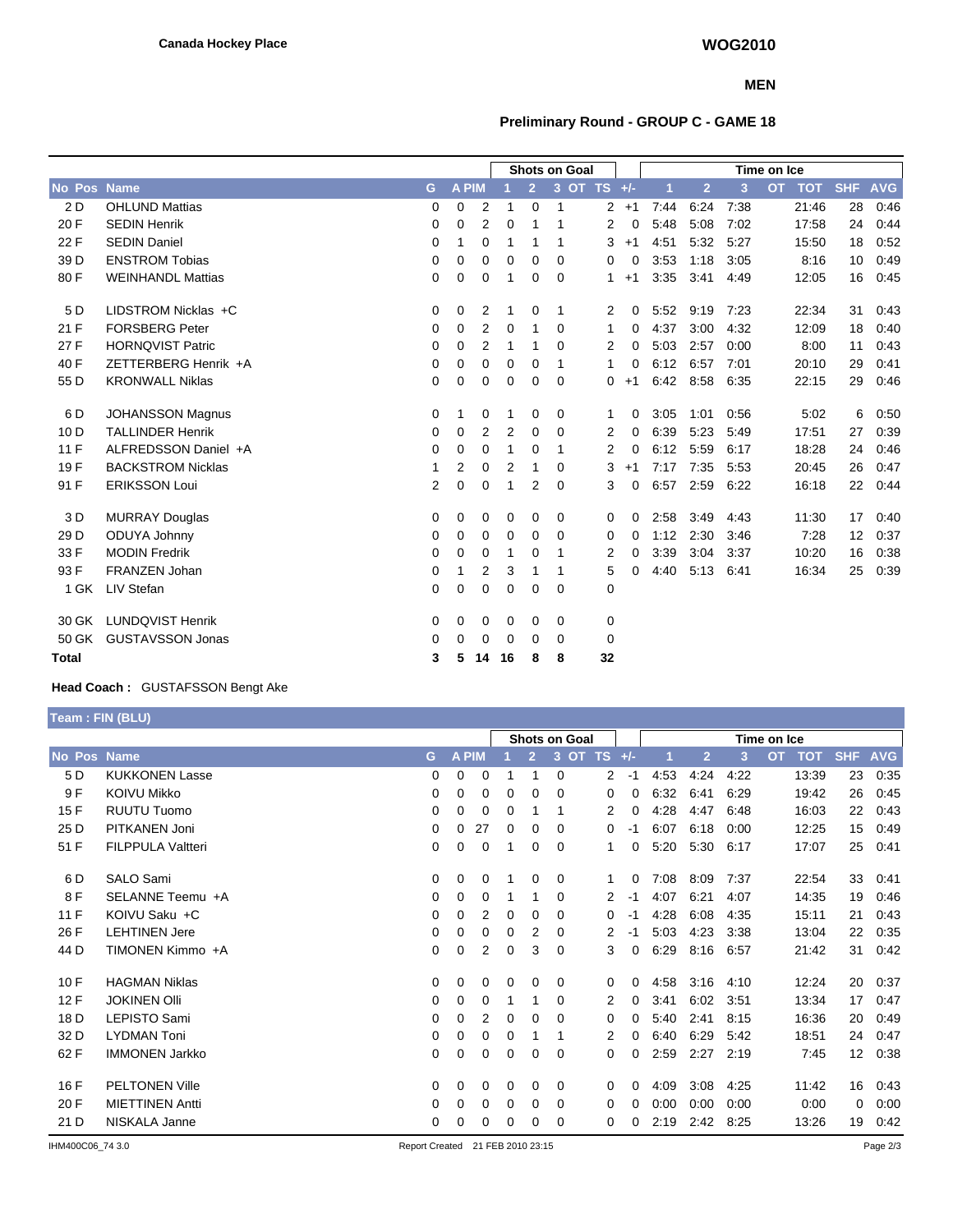### **MEN**

## **Preliminary Round - GROUP C - GAME 18**

|                    | <b>Shots on Goal</b>     |             |              |                |    |                |          |                |          | Time on Ice |                |      |                         |            |            |
|--------------------|--------------------------|-------------|--------------|----------------|----|----------------|----------|----------------|----------|-------------|----------------|------|-------------------------|------------|------------|
| <b>No Pos Name</b> |                          | G           | <b>A PIM</b> |                |    | $\overline{2}$ |          | 3 OT TS +/-    |          | 1           | $\overline{2}$ | 3    | <b>OT</b><br><b>TOT</b> | <b>SHF</b> | <b>AVG</b> |
| 2 D                | <b>OHLUND Mattias</b>    | 0           | 0            | 2              |    | $\mathbf 0$    | 1        | $\overline{2}$ | $+1$     | 7:44        | 6:24           | 7:38 | 21:46                   | 28         | 0:46       |
| 20 F               | <b>SEDIN Henrik</b>      | 0           | 0            | 2              | 0  | 1              | 1        | 2              | 0        | 5:48        | 5:08           | 7:02 | 17:58                   | 24         | 0.44       |
| 22 F               | <b>SEDIN Daniel</b>      | 0           | 1            | 0              | 1  | 1              | -1       | 3              | $+1$     | 4:51        | 5:32           | 5:27 | 15:50                   | 18         | 0:52       |
| 39 D               | <b>ENSTROM Tobias</b>    | 0           | 0            | 0              | 0  | 0              | 0        | 0              | 0        | 3:53        | 1:18           | 3:05 | 8:16                    | 10         | 0:49       |
| 80 F               | <b>WEINHANDL Mattias</b> | 0           | 0            | 0              | 1  | 0              | 0        | $\mathbf{1}$   | $+1$     | 3:35        | 3:41           | 4:49 | 12:05                   | 16         | 0:45       |
| 5 D                | LIDSTROM Nicklas +C      | 0           | 0            | 2              | 1  | 0              | -1       | 2              | 0        | 5:52        | 9:19           | 7:23 | 22:34                   | 31         | 0:43       |
| 21 F               | <b>FORSBERG Peter</b>    | 0           | 0            | 2              | 0  | 1              | $\Omega$ | 1              | 0        | 4:37        | 3:00           | 4:32 | 12:09                   | 18         | 0:40       |
| 27 F               | <b>HORNQVIST Patric</b>  | $\mathbf 0$ | 0            | 2              | 1  | 1              | 0        | 2              | 0        | 5:03        | 2:57           | 0:00 | 8:00                    | 11         | 0:43       |
| 40 F               | ZETTERBERG Henrik +A     | 0           | 0            | 0              | 0  | 0              | 1        | 1              | 0        | 6:12        | 6:57           | 7:01 | 20:10                   | 29         | 0:41       |
| 55 D               | <b>KRONWALL Niklas</b>   | 0           | 0            | 0              | 0  | 0              | 0        | 0              | $+1$     | 6:42        | 8:58           | 6:35 | 22:15                   | 29         | 0:46       |
| 6 D                | <b>JOHANSSON Magnus</b>  | 0           | 1            | 0              |    | 0              | 0        | 1              | 0        | 3:05        | 1:01           | 0:56 | 5:02                    | 6          | 0:50       |
| 10 <sub>D</sub>    | <b>TALLINDER Henrik</b>  | $\Omega$    | 0            | 2              | 2  | 0              | $\Omega$ | 2              | 0        | 6:39        | 5:23           | 5:49 | 17:51                   | 27         | 0:39       |
| 11 F               | ALFREDSSON Daniel +A     | 0           | 0            | 0              | 1  | 0              | 1        | 2              | 0        | 6:12        | 5:59           | 6:17 | 18:28                   | 24         | 0:46       |
| 19F                | <b>BACKSTROM Nicklas</b> | 1           | 2            | 0              | 2  | 1              | 0        | 3              | $+1$     | 7:17        | 7:35           | 5:53 | 20:45                   | 26         | 0:47       |
| 91 F               | <b>ERIKSSON Loui</b>     | 2           | 0            | 0              |    | 2              | 0        | 3              | $\Omega$ | 6:57        | 2:59           | 6:22 | 16:18                   | 22         | 0:44       |
| 3 D                | <b>MURRAY Douglas</b>    | 0           | 0            | 0              | 0  | 0              | 0        | 0              | 0        | 2:58        | 3:49           | 4:43 | 11:30                   | 17         | 0:40       |
| 29 D               | ODUYA Johnny             | $\Omega$    | 0            | 0              | 0  | $\Omega$       | $\Omega$ | 0              | 0        | 1:12        | 2:30           | 3:46 | 7:28                    | 12         | 0:37       |
| 33 F               | <b>MODIN Fredrik</b>     | 0           | 0            | 0              |    | 0              | 1        | 2              | 0        | 3:39        | 3:04           | 3:37 | 10:20                   | 16         | 0:38       |
| 93 F               | <b>FRANZEN Johan</b>     | 0           | 1            | $\overline{2}$ | 3  | 1              | 1        | 5              | 0        | 4:40        | 5:13           | 6:41 | 16:34                   | 25         | 0:39       |
| 1 GK               | LIV Stefan               | 0           | 0            | 0              | 0  | 0              | $\Omega$ | 0              |          |             |                |      |                         |            |            |
| 30 GK              | <b>LUNDQVIST Henrik</b>  | 0           | 0            | 0              | 0  | 0              | 0        | 0              |          |             |                |      |                         |            |            |
| 50 GK              | <b>GUSTAVSSON Jonas</b>  | 0           | 0            | 0              | 0  | 0              | 0        | 0              |          |             |                |      |                         |            |            |
| Total              |                          | 3           | 5            | 14             | 16 | 8              | 8        | 32             |          |             |                |      |                         |            |            |

## **Head Coach :** GUSTAFSSON Bengt Ake

**Team : FIN (BLU)**

|        |                          |          |              |          |          |                | <b>Shots on Goal</b> |                        |       | Time on Ice |                |      |                         |                 |            |  |
|--------|--------------------------|----------|--------------|----------|----------|----------------|----------------------|------------------------|-------|-------------|----------------|------|-------------------------|-----------------|------------|--|
| No Pos | <b>Name</b>              | G.       | <b>A PIM</b> |          |          | $\overline{2}$ | 3                    | <b>TS</b><br><b>OT</b> | $+/-$ |             | $\overline{2}$ | 3    | <b>OT</b><br><b>TOT</b> | <b>SHF</b>      | <b>AVG</b> |  |
| 5 D    | <b>KUKKONEN Lasse</b>    | 0        | 0            | 0        |          |                | 0                    | 2                      | -1    | 4.53        | 4:24           | 4:22 | 13:39                   | 23              | 0:35       |  |
| 9 F    | <b>KOIVU Mikko</b>       | 0        | $\Omega$     | 0        | 0        | 0              | $\Omega$             | 0                      | 0     | 6:32        | 6:41           | 6:29 | 19:42                   | 26              | 0:45       |  |
| 15F    | <b>RUUTU Tuomo</b>       | 0        | 0            | 0        | 0        |                | 1                    | 2                      | 0     | 4:28        | 4:47           | 6:48 | 16:03                   | 22              | 0:43       |  |
| 25 D   | PITKANEN Joni            | 0        | $\Omega$     | 27       | 0        | 0              | $\Omega$             | 0                      | $-1$  | 6:07        | 6:18           | 0:00 | 12:25                   | 15              | 0:49       |  |
| 51 F   | <b>FILPPULA Valtteri</b> | 0        | 0            | 0        | 1        | 0              | 0                    | 1                      | 0     | 5:20        | 5:30           | 6:17 | 17:07                   | 25              | 0:41       |  |
| 6 D    | SALO Sami                | 0        | 0            | 0        |          | 0              | 0                    | 1                      | 0     | 7:08        | 8:09           | 7:37 | 22:54                   | 33              | 0:41       |  |
| 8 F    | SELANNE Teemu +A         | 0        | 0            | 0        |          |                | $\Omega$             | 2                      | -1    | 4:07        | 6:21           | 4:07 | 14:35                   | 19              | 0:46       |  |
| 11 F   | KOIVU Saku +C            | 0        | $\Omega$     | 2        | 0        | 0              | $\Omega$             | 0                      | -1    | 4.28        | 6:08           | 4:35 | 15:11                   | 21              | 0:43       |  |
| 26 F   | <b>LEHTINEN Jere</b>     | 0        | 0            | 0        | 0        | 2              | 0                    | 2                      | -1    | 5:03        | 4:23           | 3:38 | 13:04                   | 22              | 0:35       |  |
| 44 D   | TIMONEN Kimmo +A         | 0        | 0            | 2        | 0        | 3              | 0                    | 3                      | 0     | 6:29        | 8:16           | 6:57 | 21:42                   | 31              | 0:42       |  |
| 10F    | <b>HAGMAN Niklas</b>     | $\Omega$ | $\Omega$     | $\Omega$ | 0        | 0              | 0                    | 0                      | 0     | 4:58        | 3:16           | 4:10 | 12:24                   | 20              | 0:37       |  |
| 12F    | <b>JOKINEN OIII</b>      | 0        | $\Omega$     | 0        |          |                | $\Omega$             | 2                      | 0     | 3:41        | 6:02           | 3:51 | 13:34                   | 17              | 0:47       |  |
| 18 D   | LEPISTO Sami             | 0        | $\Omega$     | 2        | 0        | 0              | 0                    | 0                      | 0     | 5:40        | 2:41           | 8:15 | 16:36                   | 20              | 0:49       |  |
| 32 D   | <b>LYDMAN Toni</b>       | 0        | $\Omega$     | 0        | $\Omega$ |                | 1                    | 2                      | 0     | 6:40        | 6:29           | 5:42 | 18:51                   | 24              | 0:47       |  |
| 62 F   | <b>IMMONEN Jarkko</b>    | 0        | $\Omega$     | 0        | 0        | 0              | 0                    | 0                      | 0     | 2:59        | 2:27           | 2:19 | 7:45                    | 12 <sup>2</sup> | 0:38       |  |
| 16F    | <b>PELTONEN Ville</b>    | 0        | 0            | 0        | 0        | 0              | 0                    | 0                      | 0     | 4:09        | 3:08           | 4:25 | 11:42                   | 16              | 0:43       |  |
| 20 F   | <b>MIETTINEN Antti</b>   | $\Omega$ | $\Omega$     | 0        | 0        | 0              | 0                    | 0                      | 0     | 0:00        | 0:00           | 0:00 | 0:00                    | 0               | 0:00       |  |
| 21 D   | NISKALA Janne            | 0        | 0            | 0        | $\Omega$ | 0              | 0                    | 0                      | 0     | 2:19        | 2:42           | 8:25 | 13:26                   | 19              | 0:42       |  |